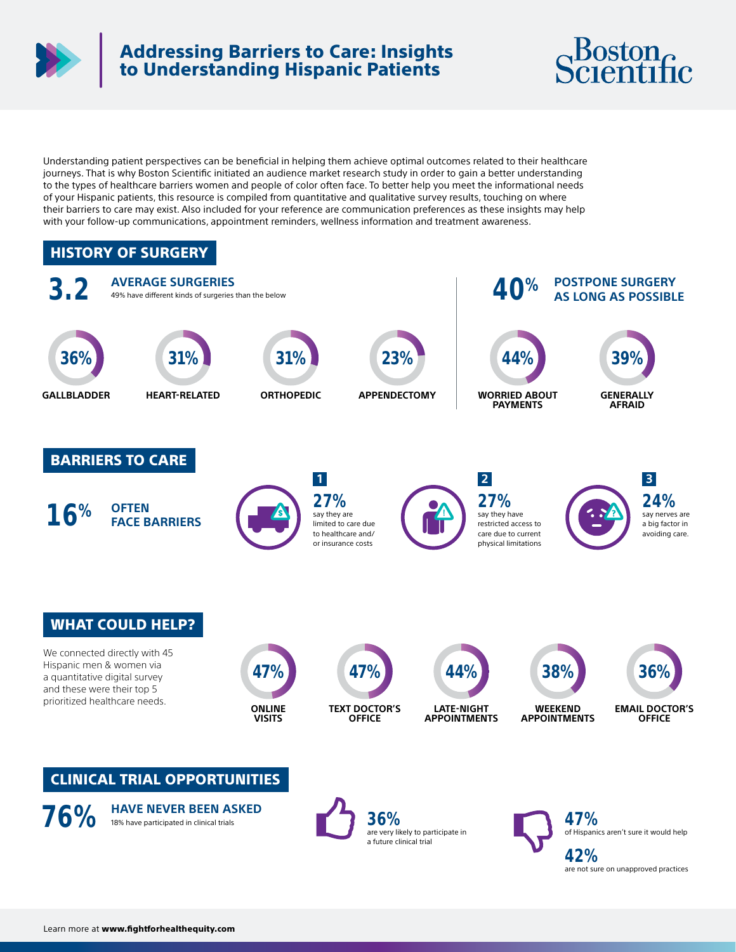

# Addressing Barriers to Care: Insights to Understanding Hispanic Patients



Understanding patient perspectives can be beneficial in helping them achieve optimal outcomes related to their healthcare journeys. That is why Boston Scientific initiated an audience market research study in order to gain a better understanding to the types of healthcare barriers women and people of color often face. To better help you meet the informational needs of your Hispanic patients, this resource is compiled from quantitative and qualitative survey results, touching on where their barriers to care may exist. Also included for your reference are communication preferences as these insights may help with your follow-up communications, appointment reminders, wellness information and treatment awareness.